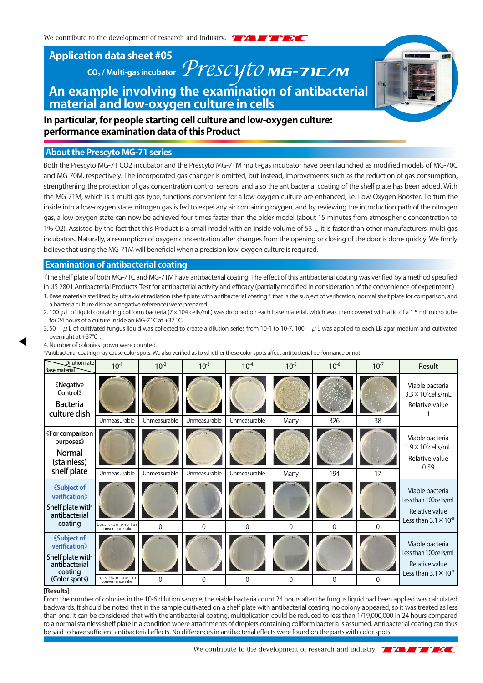**Application data sheet #05**

# **CO<sub>2</sub>/Multi-gas incubator** *PYESCYTO* **MG-7IC/M An example involving the examination of antibacterial material and low-oxygen culture in cells**

**In particular, for people starting cell culture and low-oxygen culture: performance examination data of this Product**

# **About the Prescyto MG-71 series**

Both the Prescyto MG-71 CO2 incubator and the Prescyto MG-71M multi-gas incubator have been launched as modified models of MG-70C and MG-70M, respectively. The incorporated gas changer is omitted, but instead, improvements such as the reduction of gas consumption, strengthening the protection of gas concentration control sensors, and also the antibacterial coating of the shelf plate has been added. With the MG-71M, which is a multi-gas type, functions convenient for a low-oxygen culture are enhanced, i.e. Low-Oxygen Booster. To turn the inside into a low-oxygen state, nitrogen gas is fed to expel any air containing oxygen, and by reviewing the introduction path of the nitrogen gas, a low-oxygen state can now be achieved four times faster than the older model (about 15 minutes from atmospheric concentration to 1% O2). Assisted by the fact that this Product is a small model with an inside volume of 53 L, it is faster than other manufacturers' multi-gas incubators. Naturally, a resumption of oxygen concentration after changes from the opening or closing of the door is done quickly. We firmly believe that using the MG-71M will beneficial when a precision low-oxygen culture is required.

# **Examination of antibacterial coating**

〈The shelf plate of both MG-71C and MG-71M have antibacterial coating. The effect of this antibacterial coating was verified by a method specified in JIS 2801 Antibacterial Products-Test for antibacterial activity and efficacy (partially modified in consideration of the convenience of experiment.) 1. Base materials sterilized by ultraviolet radiation (shelf plate with antibacterial coating \* that is the subject of verification, normal shelf plate for comparison, and

- a bacteria culture dish as a negative reference) were prepared. 2. 100  $\mu$  L of liquid containing coliform bacteria (7 x 104 cells/mL) was dropped on each base material, which was then covered with a lid of a 1.5 mL micro tube for 24 hours of a culture inside an MG-71C at +37°C.
- 3. 50  $\mu$  L of cultivated fungus liquid was collected to create a dilution series from 10-1 to 10-7. 100  $\mu$  L was applied to each LB agar medium and cultivated overnight at +37℃ .
- 4. Number of colonies grown were counted.

\*Antibacterial coating may cause color spots. We also verified as to whether these color spots affect antibacterial performance or not.

| <b>Dilution rate</b><br><b>Base material</b>                                                                      | $10^{-1}$                             | $10^{-2}$                    | $10^{-3}$                    | $10^{-4}$                    | $10^{-5}$    | $10^{-6}$  | $10^{-7}$ | Result                                                                                       |
|-------------------------------------------------------------------------------------------------------------------|---------------------------------------|------------------------------|------------------------------|------------------------------|--------------|------------|-----------|----------------------------------------------------------------------------------------------|
| <b><i><u>K</u>Negative</i></b><br>Control»<br><b>Bacteria</b><br>culture dish                                     |                                       |                              |                              |                              |              |            |           | Viable bacteria<br>$3.3 \times 10^9$ cells/mL<br>Relative value                              |
| «For comparison<br>purposes<br><b>Normal</b><br>(stainless)<br>shelf plate                                        | Unmeasurable<br>Unmeasurable          | Unmeasurable<br>Unmeasurable | Unmeasurable<br>Unmeasurable | Unmeasurable<br>Unmeasurable | Many<br>Many | 326<br>194 | 38<br>17  | Viable bacteria<br>$1.9 \times 10^9$ cells/mL<br>Relative value<br>0.59                      |
| <b><i><u>K</u></i></b> Subject of<br><b>verification</b><br>Shelf plate with<br>antibacterial<br>coating          | Less than one for<br>convenience sake | $\Omega$                     | $\Omega$                     | $\Omega$                     | $\Omega$     | $\Omega$   | $\Omega$  | Viable bacteria<br>Less than 100cells/mL<br>Relative value<br>Less than $3.1 \times 10^{-8}$ |
| <b><i><u>Subject of</u></i></b><br>verification》<br>Shelf plate with<br>antibacterial<br>coating<br>(Color spots) | Less than one for<br>convenience sake | $\Omega$                     | $\Omega$                     | $\Omega$                     | $\Omega$     | 0          | $\Omega$  | Viable bacteria<br>Less than 100cells/mL<br>Relative value<br>Less than $3.1 \times 10^{-8}$ |

#### **[Results]**

From the number of colonies in the 10-6 dilution sample, the viable bacteria count 24 hours after the fungus liquid had been applied was calculated backwards. It should be noted that in the sample cultivated on a shelf plate with antibacterial coating, no colony appeared, so it was treated as less than one. It can be considered that with the antibacterial coating, multiplication could be reduced to less than 1/19,000,000 in 24 hours compared to a normal stainless shelf plate in a condition where attachments of droplets containing coliform bacteria is assumed. Antibacterial coating can thus be said to have sufficient antibacterial effects. No differences in antibacterial effects were found on the parts with color spots.